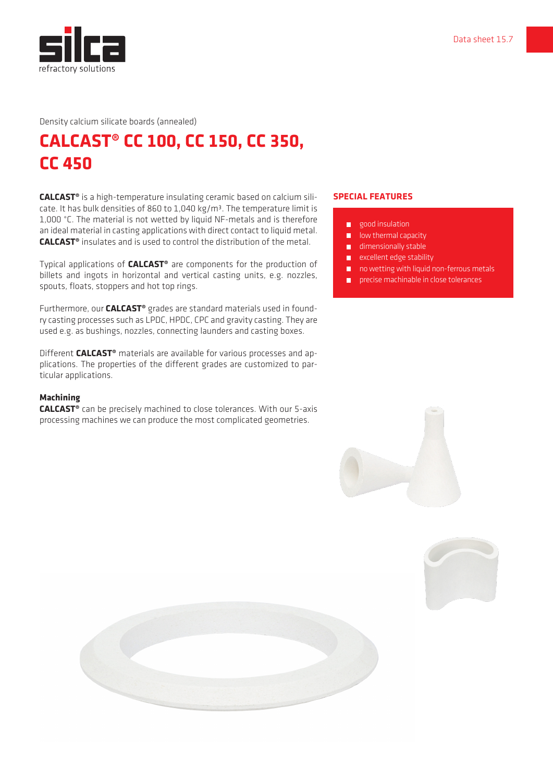

Density calcium silicate boards (annealed)

## **CALCAST® CC 100, CC 150, CC 350, CC 450**

**CALCAST®** is a high-temperature insulating ceramic based on calcium silicate. It has bulk densities of 860 to 1,040 kg/m<sup>3</sup>. The temperature limit is 1,000 °C. The material is not wetted by liquid NF-metals and is therefore an ideal material in casting applications with direct contact to liquid metal. **CALCAST®** insulates and is used to control the distribution of the metal.

Typical applications of **CALCAST®** are components for the production of billets and ingots in horizontal and vertical casting units, e.g. nozzles, spouts, floats, stoppers and hot top rings.

Furthermore, our **CALCAST®** grades are standard materials used in foundry casting processes such as LPDC, HPDC, CPC and gravity casting. They are used e.g. as bushings, nozzles, connecting launders and casting boxes.

Different **CALCAST®** materials are available for various processes and applications. The properties of the different grades are customized to particular applications.

## **Machining**

**CALCAST®** can be precisely machined to close tolerances. With our 5-axis processing machines we can produce the most complicated geometries.

## **SPECIAL FEATURES**

- **good** insulation
- **lacks** low thermal capacity
- **dimensionally stable**
- **EXCELLENT EDGE STABILITY**
- no wetting with liquid non-ferrous metals
- **Parage in close tolerances**